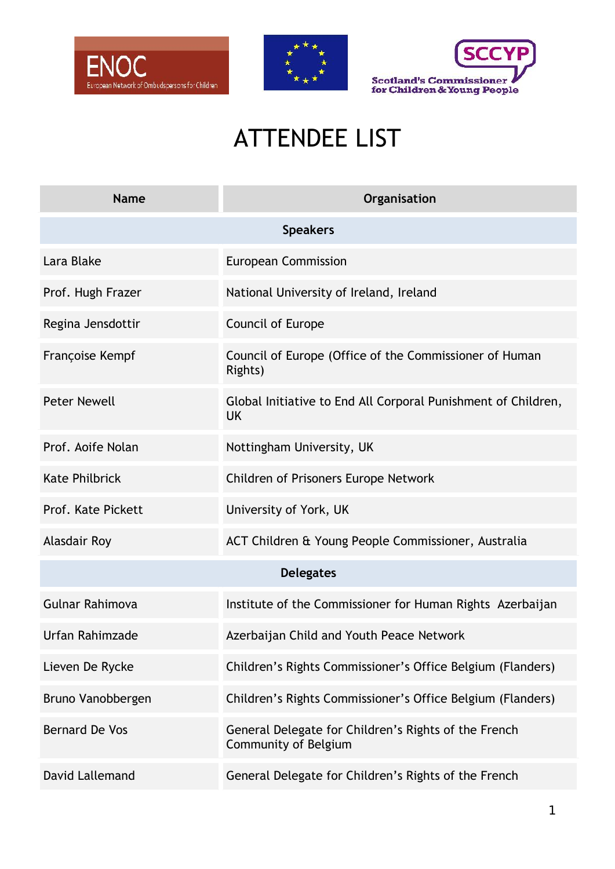





## ATTENDEE LIST

| <b>Name</b>           | Organisation                                                                        |  |
|-----------------------|-------------------------------------------------------------------------------------|--|
| <b>Speakers</b>       |                                                                                     |  |
| Lara Blake            | <b>European Commission</b>                                                          |  |
| Prof. Hugh Frazer     | National University of Ireland, Ireland                                             |  |
| Regina Jensdottir     | Council of Europe                                                                   |  |
| Françoise Kempf       | Council of Europe (Office of the Commissioner of Human<br>Rights)                   |  |
| <b>Peter Newell</b>   | Global Initiative to End All Corporal Punishment of Children,<br><b>UK</b>          |  |
| Prof. Aoife Nolan     | Nottingham University, UK                                                           |  |
| <b>Kate Philbrick</b> | Children of Prisoners Europe Network                                                |  |
| Prof. Kate Pickett    | University of York, UK                                                              |  |
| <b>Alasdair Roy</b>   | ACT Children & Young People Commissioner, Australia                                 |  |
| <b>Delegates</b>      |                                                                                     |  |
| Gulnar Rahimova       | Institute of the Commissioner for Human Rights Azerbaijan                           |  |
| Urfan Rahimzade       | Azerbaijan Child and Youth Peace Network                                            |  |
| Lieven De Rycke       | Children's Rights Commissioner's Office Belgium (Flanders)                          |  |
| Bruno Vanobbergen     | Children's Rights Commissioner's Office Belgium (Flanders)                          |  |
| <b>Bernard De Vos</b> | General Delegate for Children's Rights of the French<br><b>Community of Belgium</b> |  |
| David Lallemand       | General Delegate for Children's Rights of the French                                |  |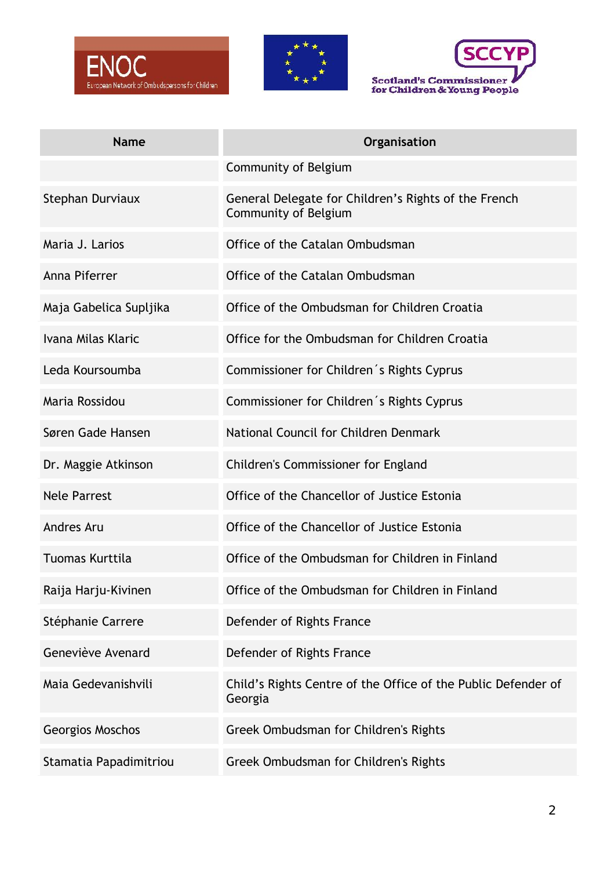





| <b>Name</b>            | Organisation                                                                 |
|------------------------|------------------------------------------------------------------------------|
|                        | Community of Belgium                                                         |
| Stephan Durviaux       | General Delegate for Children's Rights of the French<br>Community of Belgium |
| Maria J. Larios        | Office of the Catalan Ombudsman                                              |
| Anna Piferrer          | Office of the Catalan Ombudsman                                              |
| Maja Gabelica Supljika | Office of the Ombudsman for Children Croatia                                 |
| Ivana Milas Klaric     | Office for the Ombudsman for Children Croatia                                |
| Leda Koursoumba        | Commissioner for Children's Rights Cyprus                                    |
| Maria Rossidou         | Commissioner for Children's Rights Cyprus                                    |
| Søren Gade Hansen      | National Council for Children Denmark                                        |
| Dr. Maggie Atkinson    | Children's Commissioner for England                                          |
| <b>Nele Parrest</b>    | Office of the Chancellor of Justice Estonia                                  |
| Andres Aru             | Office of the Chancellor of Justice Estonia                                  |
| Tuomas Kurttila        | Office of the Ombudsman for Children in Finland                              |
| Raija Harju-Kivinen    | Office of the Ombudsman for Children in Finland                              |
| Stéphanie Carrere      | Defender of Rights France                                                    |
| Geneviève Avenard      | Defender of Rights France                                                    |
| Maia Gedevanishvili    | Child's Rights Centre of the Office of the Public Defender of<br>Georgia     |
| Georgios Moschos       | Greek Ombudsman for Children's Rights                                        |
| Stamatia Papadimitriou | Greek Ombudsman for Children's Rights                                        |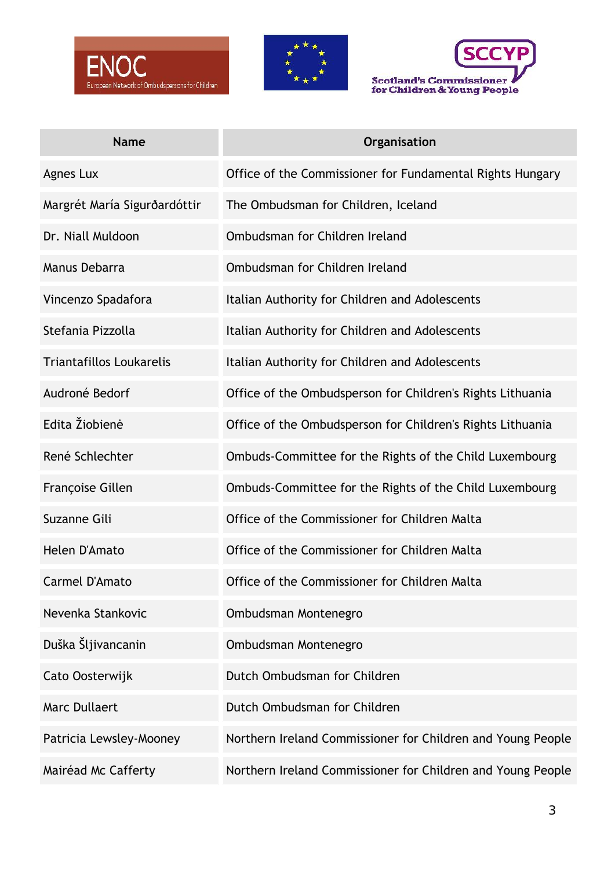





| <b>Name</b>                     | Organisation                                                |
|---------------------------------|-------------------------------------------------------------|
| Agnes Lux                       | Office of the Commissioner for Fundamental Rights Hungary   |
| Margrét María Sigurðardóttir    | The Ombudsman for Children, Iceland                         |
| Dr. Niall Muldoon               | Ombudsman for Children Ireland                              |
| Manus Debarra                   | Ombudsman for Children Ireland                              |
| Vincenzo Spadafora              | Italian Authority for Children and Adolescents              |
| Stefania Pizzolla               | Italian Authority for Children and Adolescents              |
| <b>Triantafillos Loukarelis</b> | Italian Authority for Children and Adolescents              |
| Audroné Bedorf                  | Office of the Ombudsperson for Children's Rights Lithuania  |
| Edita Žiobienė                  | Office of the Ombudsperson for Children's Rights Lithuania  |
| René Schlechter                 | Ombuds-Committee for the Rights of the Child Luxembourg     |
| Françoise Gillen                | Ombuds-Committee for the Rights of the Child Luxembourg     |
| Suzanne Gili                    | Office of the Commissioner for Children Malta               |
| Helen D'Amato                   | Office of the Commissioner for Children Malta               |
| Carmel D'Amato                  | Office of the Commissioner for Children Malta               |
| Nevenka Stankovic               | Ombudsman Montenegro                                        |
| Duška Šljivancanin              | Ombudsman Montenegro                                        |
| Cato Oosterwijk                 | Dutch Ombudsman for Children                                |
| <b>Marc Dullaert</b>            | Dutch Ombudsman for Children                                |
| Patricia Lewsley-Mooney         | Northern Ireland Commissioner for Children and Young People |
| Mairéad Mc Cafferty             | Northern Ireland Commissioner for Children and Young People |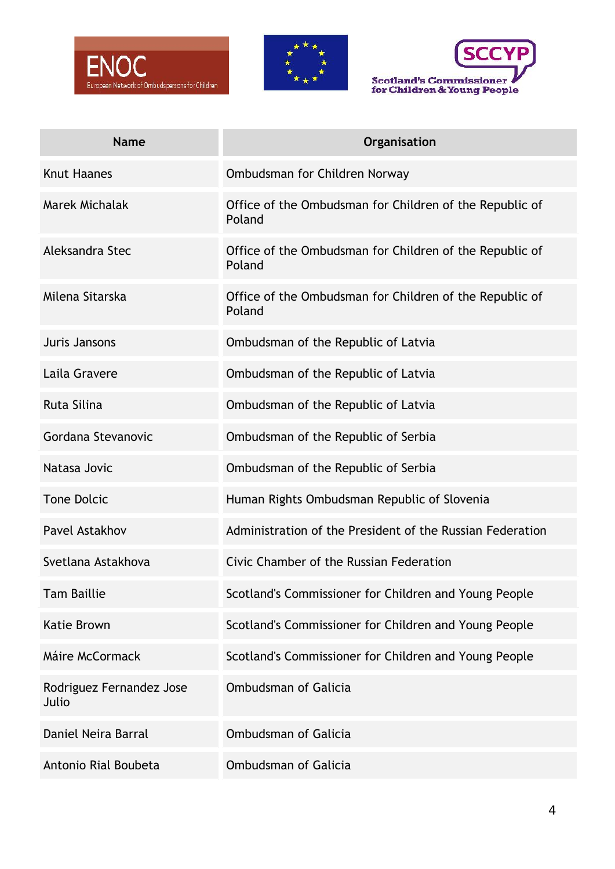





| <b>Name</b>                       | Organisation                                                      |
|-----------------------------------|-------------------------------------------------------------------|
| <b>Knut Haanes</b>                | Ombudsman for Children Norway                                     |
| Marek Michalak                    | Office of the Ombudsman for Children of the Republic of<br>Poland |
| Aleksandra Stec                   | Office of the Ombudsman for Children of the Republic of<br>Poland |
| Milena Sitarska                   | Office of the Ombudsman for Children of the Republic of<br>Poland |
| Juris Jansons                     | Ombudsman of the Republic of Latvia                               |
| Laila Gravere                     | Ombudsman of the Republic of Latvia                               |
| Ruta Silina                       | Ombudsman of the Republic of Latvia                               |
| Gordana Stevanovic                | Ombudsman of the Republic of Serbia                               |
| Natasa Jovic                      | Ombudsman of the Republic of Serbia                               |
| <b>Tone Dolcic</b>                | Human Rights Ombudsman Republic of Slovenia                       |
| Pavel Astakhov                    | Administration of the President of the Russian Federation         |
| Svetlana Astakhova                | Civic Chamber of the Russian Federation                           |
| <b>Tam Baillie</b>                | Scotland's Commissioner for Children and Young People             |
| <b>Katie Brown</b>                | Scotland's Commissioner for Children and Young People             |
| Máire McCormack                   | Scotland's Commissioner for Children and Young People             |
| Rodriguez Fernandez Jose<br>Julio | <b>Ombudsman of Galicia</b>                                       |
| Daniel Neira Barral               | <b>Ombudsman of Galicia</b>                                       |
| Antonio Rial Boubeta              | <b>Ombudsman of Galicia</b>                                       |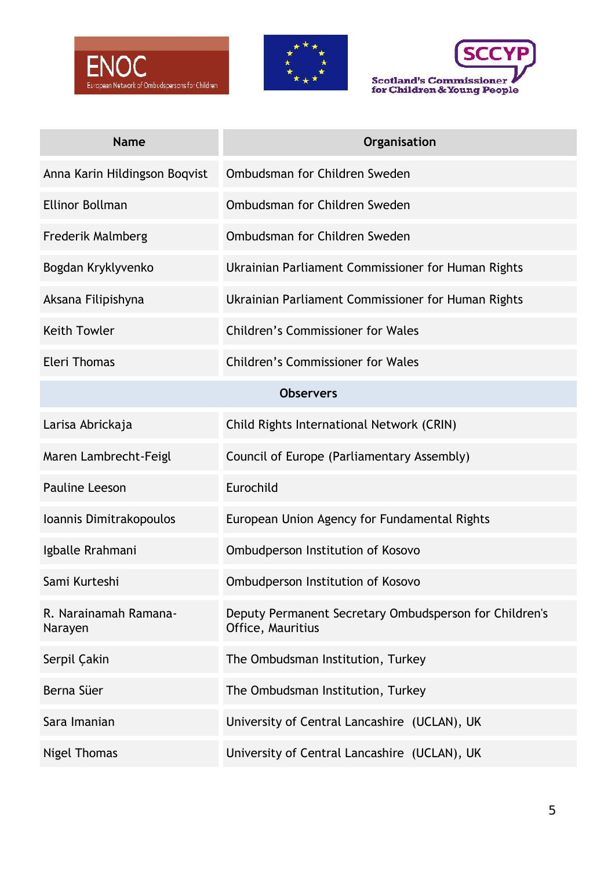





| <b>Name</b>                      | Organisation                                                                |  |
|----------------------------------|-----------------------------------------------------------------------------|--|
| Anna Karin Hildingson Boqvist    | Ombudsman for Children Sweden                                               |  |
| <b>Ellinor Bollman</b>           | Ombudsman for Children Sweden                                               |  |
| <b>Frederik Malmberg</b>         | Ombudsman for Children Sweden                                               |  |
| Bogdan Kryklyvenko               | Ukrainian Parliament Commissioner for Human Rights                          |  |
| Aksana Filipishyna               | Ukrainian Parliament Commissioner for Human Rights                          |  |
| <b>Keith Towler</b>              | <b>Children's Commissioner for Wales</b>                                    |  |
| <b>Eleri Thomas</b>              | <b>Children's Commissioner for Wales</b>                                    |  |
| <b>Observers</b>                 |                                                                             |  |
| Larisa Abrickaja                 | Child Rights International Network (CRIN)                                   |  |
| Maren Lambrecht-Feigl            | Council of Europe (Parliamentary Assembly)                                  |  |
| <b>Pauline Leeson</b>            | Eurochild                                                                   |  |
| Ioannis Dimitrakopoulos          | European Union Agency for Fundamental Rights                                |  |
| Igballe Rrahmani                 | Ombudperson Institution of Kosovo                                           |  |
| Sami Kurteshi                    | Ombudperson Institution of Kosovo                                           |  |
| R. Narainamah Ramana-<br>Narayen | Deputy Permanent Secretary Ombudsperson for Children's<br>Office, Mauritius |  |
| Serpil Çakin                     | The Ombudsman Institution, Turkey                                           |  |
| Berna Süer                       | The Ombudsman Institution, Turkey                                           |  |
| Sara Imanian                     | University of Central Lancashire (UCLAN), UK                                |  |
| Nigel Thomas                     | University of Central Lancashire (UCLAN), UK                                |  |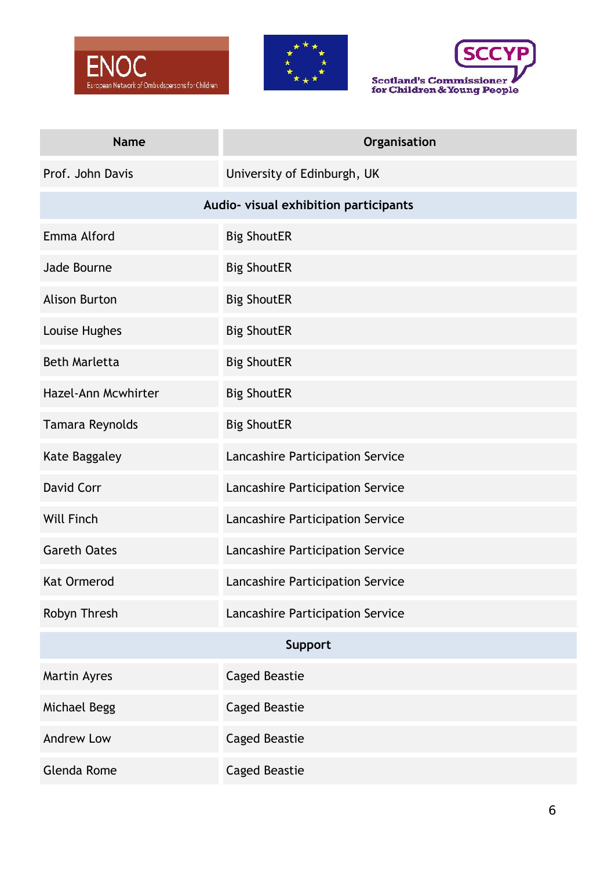





| <b>Name</b>          | Organisation                          |  |
|----------------------|---------------------------------------|--|
| Prof. John Davis     | University of Edinburgh, UK           |  |
|                      | Audio- visual exhibition participants |  |
| Emma Alford          | <b>Big ShoutER</b>                    |  |
| Jade Bourne          | <b>Big ShoutER</b>                    |  |
| <b>Alison Burton</b> | <b>Big ShoutER</b>                    |  |
| Louise Hughes        | <b>Big ShoutER</b>                    |  |
| <b>Beth Marletta</b> | <b>Big ShoutER</b>                    |  |
| Hazel-Ann Mcwhirter  | <b>Big ShoutER</b>                    |  |
| Tamara Reynolds      | <b>Big ShoutER</b>                    |  |
| Kate Baggaley        | Lancashire Participation Service      |  |
| David Corr           | Lancashire Participation Service      |  |
| <b>Will Finch</b>    | Lancashire Participation Service      |  |
| <b>Gareth Oates</b>  | Lancashire Participation Service      |  |
| <b>Kat Ormerod</b>   | Lancashire Participation Service      |  |
| Robyn Thresh         | Lancashire Participation Service      |  |
| Support              |                                       |  |
| Martin Ayres         | <b>Caged Beastie</b>                  |  |
| Michael Begg         | <b>Caged Beastie</b>                  |  |
| <b>Andrew Low</b>    | <b>Caged Beastie</b>                  |  |
| Glenda Rome          | <b>Caged Beastie</b>                  |  |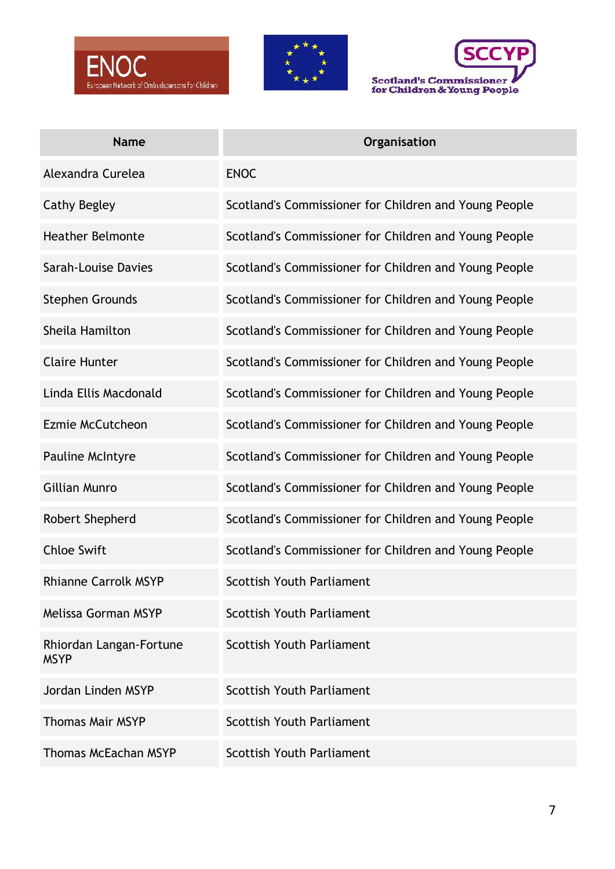





| <b>Name</b>                            | Organisation                                          |
|----------------------------------------|-------------------------------------------------------|
| Alexandra Curelea                      | <b>ENOC</b>                                           |
| Cathy Begley                           | Scotland's Commissioner for Children and Young People |
| <b>Heather Belmonte</b>                | Scotland's Commissioner for Children and Young People |
| Sarah-Louise Davies                    | Scotland's Commissioner for Children and Young People |
| <b>Stephen Grounds</b>                 | Scotland's Commissioner for Children and Young People |
| Sheila Hamilton                        | Scotland's Commissioner for Children and Young People |
| <b>Claire Hunter</b>                   | Scotland's Commissioner for Children and Young People |
| Linda Ellis Macdonald                  | Scotland's Commissioner for Children and Young People |
| Ezmie McCutcheon                       | Scotland's Commissioner for Children and Young People |
| Pauline McIntyre                       | Scotland's Commissioner for Children and Young People |
| <b>Gillian Munro</b>                   | Scotland's Commissioner for Children and Young People |
| Robert Shepherd                        | Scotland's Commissioner for Children and Young People |
| <b>Chloe Swift</b>                     | Scotland's Commissioner for Children and Young People |
| <b>Rhianne Carrolk MSYP</b>            | <b>Scottish Youth Parliament</b>                      |
| Melissa Gorman MSYP                    | <b>Scottish Youth Parliament</b>                      |
| Rhiordan Langan-Fortune<br><b>MSYP</b> | <b>Scottish Youth Parliament</b>                      |
| Jordan Linden MSYP                     | <b>Scottish Youth Parliament</b>                      |
| <b>Thomas Mair MSYP</b>                | <b>Scottish Youth Parliament</b>                      |
| <b>Thomas McEachan MSYP</b>            | <b>Scottish Youth Parliament</b>                      |